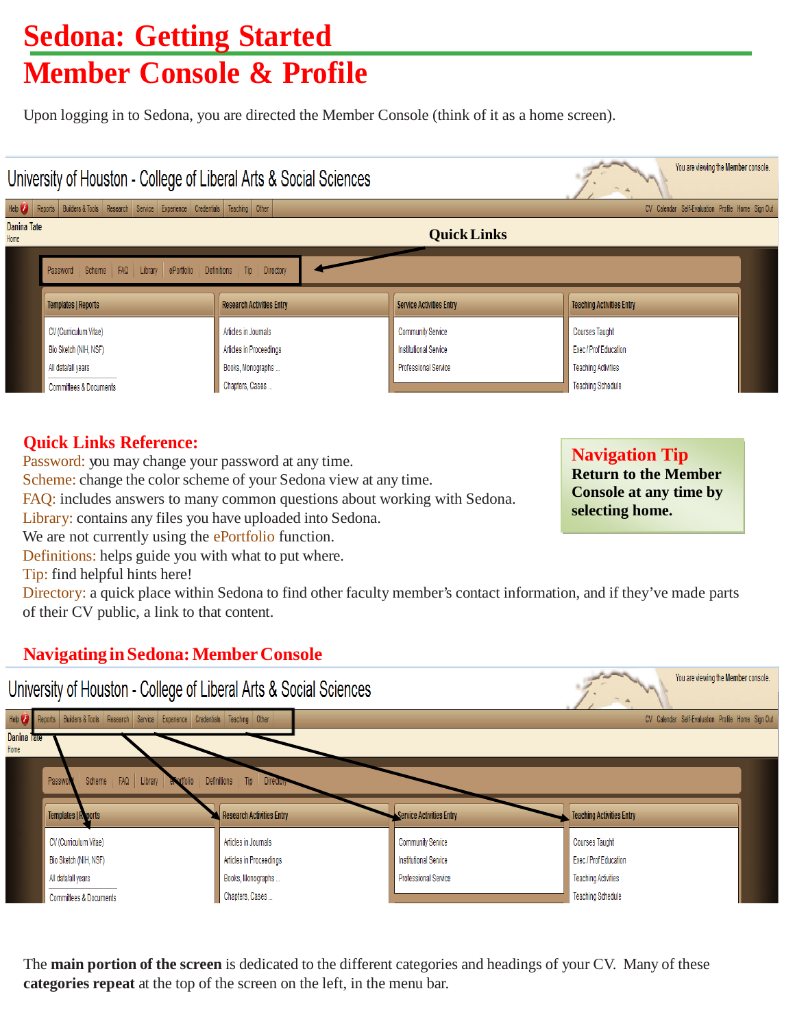## **Sedona: Getting Started Member Console & Profile**

Upon logging in to Sedona, you are directed the Member Console (think of it as a home screen).

### You are viewing the Member console. University of Houston - College of Liberal Arts & Social Sciences Help Reports Builders & Tools Research Service Experience Credentials Teaching Other CV Calendar Self-Evaluation Profile Home Sign Out **Danina Tate QuickLinks** Password Scheme FAQ Library ePortfolio Definitions  $Tip$ Directory **Templates | Reports Research Activities Entry Service Activities Entry Teaching Activities Entry** CV (Curriculum Vitae) Articles in Journals **Community Service Courses Taught** Bio Sketch (NIH, NSF) Articles in Proceedings **Institutional Service** Exec / Prof Education All data/all vears Books, Monographs ... Professional Service **Teaching Activities** Chapters, Cases... **Teaching Schedule** Committees & Documents

## **Quick Links Reference:**

Home

Password: you may change your password at any time.

Scheme: change the color scheme of your Sedona view at any time.

FAQ: includes answers to many common questions about working with Sedona.

Library: contains any files you have uploaded into Sedona.

We are not currently using the ePortfolio function.

Definitions: helps guide you with what to put where.

Tip: find helpful hints here!

Directory: a quick place within Sedona to find other faculty member's contact information, and if they've made parts of their CV public, a link to that content.

## **NavigatinginSedona:MemberConsole**



The **main portion of the screen** is dedicated to the different categories and headings of your CV. Many of these **categories repeat** at the top of the screen on the left, in the menu bar.

**Navigation Tip Return to the Member Console at any time by selecting home.**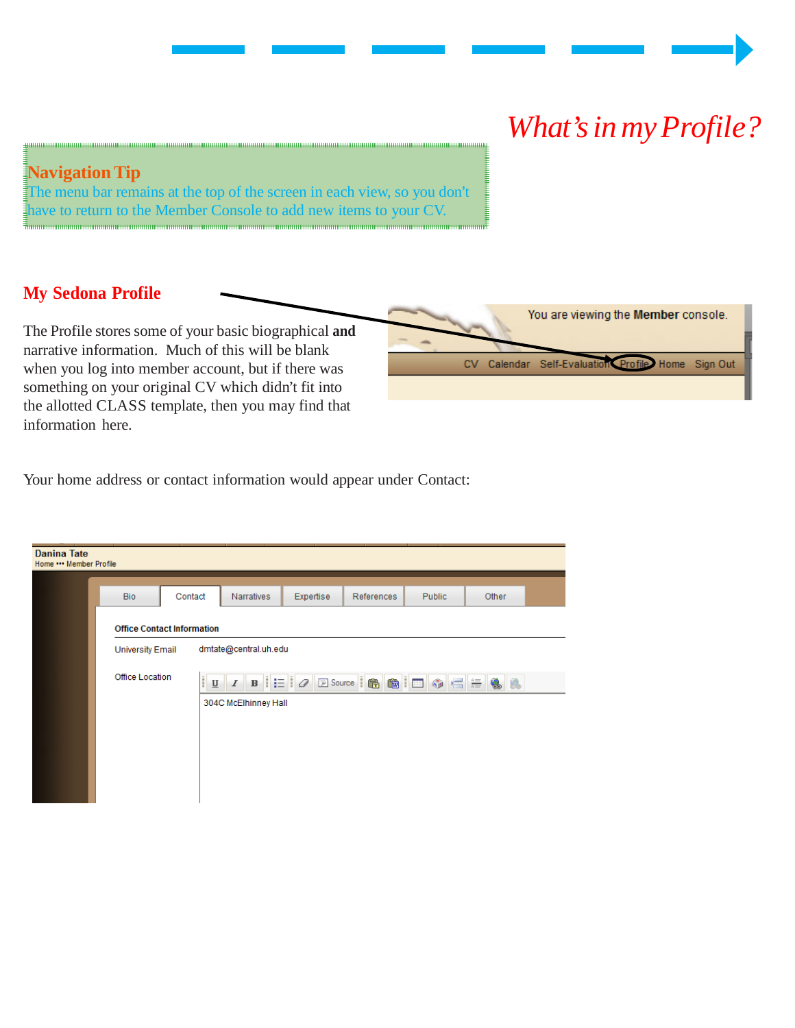# *What'sinmyProfile?*

## **Navigation Tip**

The menu bar remains at the top of the screen in each view, so you don't have to return to the Member Console to add new items to your CV.

## **My Sedona Profile**

The Profile stores some of your basic biographical **and** narrative information. Much of this will be blank when you log into member account, but if there was something on your original CV which didn't fit into the allotted CLASS template, then you may find that information here.

|  | You are viewing the Member console.               |  |
|--|---------------------------------------------------|--|
|  | CV Calendar Self-Evaluation Profile Home Sign Out |  |
|  |                                                   |  |

Your home address or contact information would appear under Contact:

| <b>Danina Tate</b><br>Home *** Member Profile |                         |                                   |                       |           |            |        |       |  |
|-----------------------------------------------|-------------------------|-----------------------------------|-----------------------|-----------|------------|--------|-------|--|
|                                               |                         |                                   |                       |           |            |        |       |  |
|                                               | <b>Bio</b>              | Contact                           | <b>Narratives</b>     | Expertise | References | Public | Other |  |
|                                               |                         | <b>Office Contact Information</b> |                       |           |            |        |       |  |
|                                               | <b>University Email</b> |                                   | dmtate@central.uh.edu |           |            |        |       |  |
|                                               | <b>Office Location</b>  |                                   |                       |           |            |        |       |  |
|                                               |                         |                                   | 304C McElhinney Hall  |           |            |        |       |  |
|                                               |                         |                                   |                       |           |            |        |       |  |
|                                               |                         |                                   |                       |           |            |        |       |  |
|                                               |                         |                                   |                       |           |            |        |       |  |
|                                               |                         |                                   |                       |           |            |        |       |  |
|                                               |                         |                                   |                       |           |            |        |       |  |